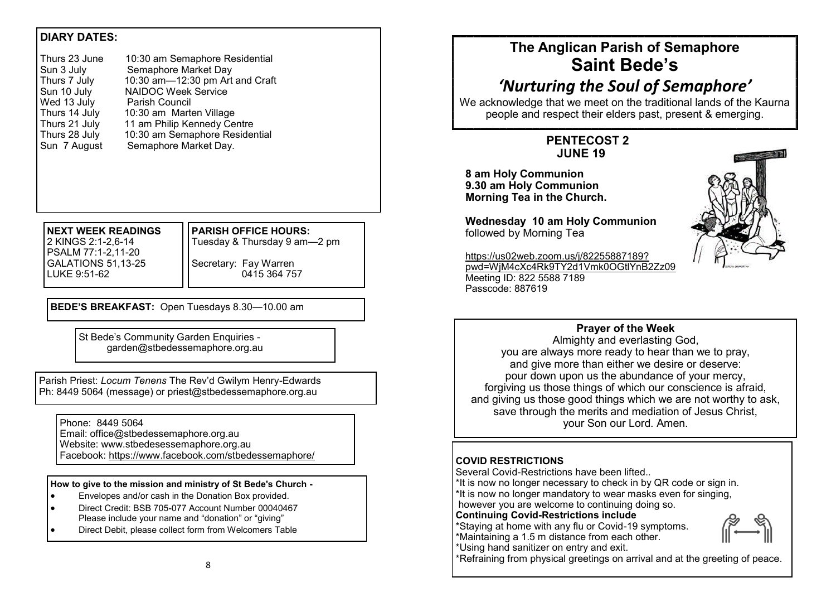# **DIARY DATES:**

| Thurs 23 June | 10:30 am Semaphore Residential  |
|---------------|---------------------------------|
| Sun 3 July    | Semaphore Market Day            |
| Thurs 7 July  | 10:30 am-12:30 pm Art and Craft |
| Sun 10 July   | <b>NAIDOC Week Service</b>      |
| Wed 13 July   | Parish Council                  |
| Thurs 14 July | 10:30 am Marten Village         |
| Thurs 21 July | 11 am Philip Kennedy Centre     |
| Thurs 28 July | 10:30 am Semaphore Residential  |
| Sun 7 August  | Semaphore Market Day.           |
|               |                                 |

#### **NEXT WEEK READINGS** 2 KINGS 2:1-2,6-14 PSALM 77:1-2,11-20 GALATIONS 51,13-25 LUKE 9:51-62

**PARISH OFFICE HOURS:** Tuesday & Thursday 9 am—2 pm Secretary: Fay Warren 0415 364 757

**BEDE'S BREAKFAST:** Open Tuesdays 8.30—10.00 am

St Bede's Community Garden Enquiries garden@stbedessemaphore.org.au

Parish Priest: *Locum Tenens* The Rev'd Gwilym Henry-Edwards Ph: 8449 5064 (message) or priest@stbedessemaphore.org.au

#### Phone: 8449 5064 Email: office@stbedessemaphore.org.au Website: www.stbedesessemaphore.org.au Facebook: <https://www.facebook.com/stbedessemaphore/>

#### **How to give to the mission and ministry of St Bede's Church -**

- Envelopes and/or cash in the Donation Box provided.
- Direct Credit: BSB 705-077 Account Number 00040467 Please include your name and "donation" or "giving"
- Direct Debit, please collect form from Welcomers Table

# **The Anglican Parish of Semaphore Saint Bede's**

# *'Nurturing the Soul of Semaphore'*

We acknowledge that we meet on the traditional lands of the Kaurna people and respect their elders past, present & emerging.

# **PENTECOST 2 JUNE 19**

**8 am Holy Communion 9.30 am Holy Communion Morning Tea in the Church.** 

**Wednesday 10 am Holy Communion** followed by Morning Tea



[https://us02web.zoom.us/j/82255887189?](https://us02web.zoom.us/j/82255887189?pwd=WjM4cXc4Rk9TY2d1Vmk0OGtlYnB2Zz09) [pwd=WjM4cXc4Rk9TY2d1Vmk0OGtlYnB2Zz09](https://us02web.zoom.us/j/82255887189?pwd=WjM4cXc4Rk9TY2d1Vmk0OGtlYnB2Zz09) Meeting ID: 822 5588 7189 Passcode: 887619

### **Prayer of the Week**

Almighty and everlasting God, you are always more ready to hear than we to pray, and give more than either we desire or deserve: pour down upon us the abundance of your mercy, forgiving us those things of which our conscience is afraid, and giving us those good things which we are not worthy to ask, save through the merits and mediation of Jesus Christ, your Son our Lord. Amen.

### **COVID RESTRICTIONS**

Several Covid-Restrictions have been lifted..

\*It is now no longer necessary to check in by QR code or sign in. \*It is now no longer mandatory to wear masks even for singing, however you are welcome to continuing doing so.

### **Continuing Covid-Restrictions include**

\*Staying at home with any flu or Covid-19 symptoms. \*Maintaining a 1.5 m distance from each other.



\*Using hand sanitizer on entry and exit.

\*Refraining from physical greetings on arrival and at the greeting of peace.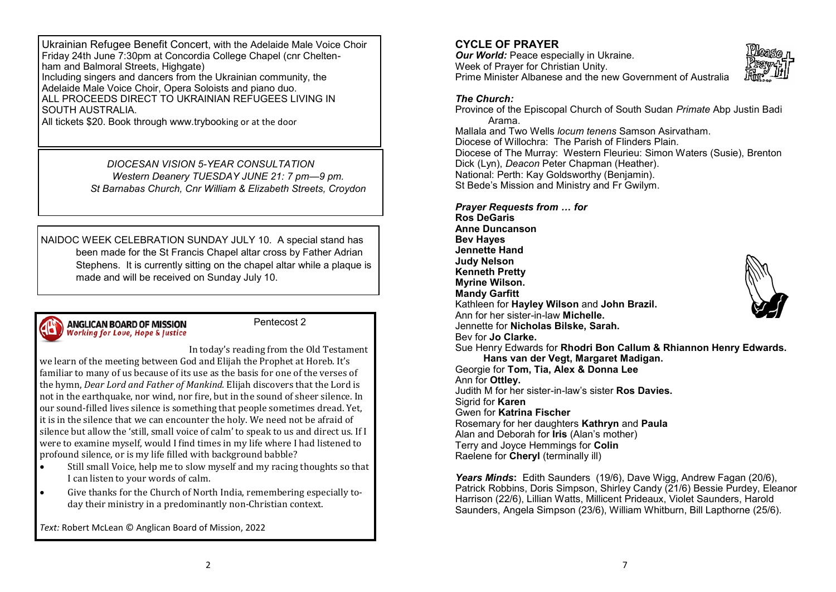Ukrainian Refugee Benefit Concert, with the Adelaide Male Voice Choir Friday 24th June 7:30pm at Concordia College Chapel (cnr Cheltenham and Balmoral Streets, Highgate) Including singers and dancers from the Ukrainian community, the Adelaide Male Voice Choir, Opera Soloists and piano duo.

ALL PROCEEDS DIRECT TO UKRAINIAN REFUGEES LIVING IN SOUTH AUSTRALIA.

All tickets \$20. Book through www.trybooking or at the door

*DIOCESAN VISION 5-YEAR CONSULTATION Western Deanery TUESDAY JUNE 21: 7 pm—9 pm. St Barnabas Church, Cnr William & Elizabeth Streets, Croydon* 

NAIDOC WEEK CELEBRATION SUNDAY JULY 10. A special stand has been made for the St Francis Chapel altar cross by Father Adrian Stephens. It is currently sitting on the chapel altar while a plaque is made and will be received on Sunday July 10.

#### **ANGLICAN BOARD OF MISSION** Working for Love, Hope & Justice

Pentecost 2

In today's reading from the Old Testament

we learn of the meeting between God and Elijah the Prophet at Horeb. It's familiar to many of us because of its use as the basis for one of the verses of the hymn, *Dear Lord and Father of Mankind.* Elijah discovers that the Lord is not in the earthquake, nor wind, nor fire, but in the sound of sheer silence. In our sound-filled lives silence is something that people sometimes dread. Yet, it is in the silence that we can encounter the holy. We need not be afraid of silence but allow the 'still, small voice of calm' to speak to us and direct us. If I were to examine myself, would I find times in my life where I had listened to profound silence, or is my life filled with background babble?

- Still small Voice, help me to slow myself and my racing thoughts so that I can listen to your words of calm.
- Give thanks for the Church of North India, remembering especially today their ministry in a predominantly non-Christian context.

*Text:* Robert McLean © Anglican Board of Mission, 2022

### **CYCLE OF PRAYER**

*Our World: Peace especially in Ukraine.* Week of Prayer for Christian Unity. Prime Minister Albanese and the new Government of Australia



### *The Church:*

Province of the Episcopal Church of South Sudan *Primate* Abp Justin Badi Arama. Mallala and Two Wells *locum tenens* Samson Asirvatham. Diocese of Willochra: The Parish of Flinders Plain. Diocese of The Murray: Western Fleurieu: Simon Waters (Susie), Brenton Dick (Lyn), *Deacon* Peter Chapman (Heather). National: Perth: Kay Goldsworthy (Benjamin). St Bede's Mission and Ministry and Fr Gwilym.

*Prayer Requests from … for*

**Ros DeGaris Anne Duncanson Bev Hayes Jennette Hand Judy Nelson Kenneth Pretty Myrine Wilson. Mandy Garfitt**  Kathleen for **Hayley Wilson** and **John Brazil.** Ann for her sister-in-law **Michelle.**  Jennette for **Nicholas Bilske, Sarah.** Bev for **Jo Clarke.** Sue Henry Edwards for **Rhodri Bon Callum & Rhiannon Henry Edwards. Hans van der Vegt, Margaret Madigan.** Georgie for **Tom, Tia, Alex & Donna Lee** Ann for **Ottley.**  Judith M for her sister-in-law's sister **Ros Davies.** Sigrid for **Karen**  Gwen for **Katrina Fischer** Rosemary for her daughters **Kathryn** and **Paula** Alan and Deborah for **Iris** (Alan's mother) Terry and Joyce Hemmings for **Colin** Raelene for **Cheryl** (terminally ill)

*Years Minds***:** Edith Saunders (19/6), Dave Wigg, Andrew Fagan (20/6), Patrick Robbins, Doris Simpson, Shirley Candy (21/6) Bessie Purdey, Eleanor Harrison (22/6), Lillian Watts, Millicent Prideaux, Violet Saunders, Harold Saunders, Angela Simpson (23/6), William Whitburn, Bill Lapthorne (25/6).

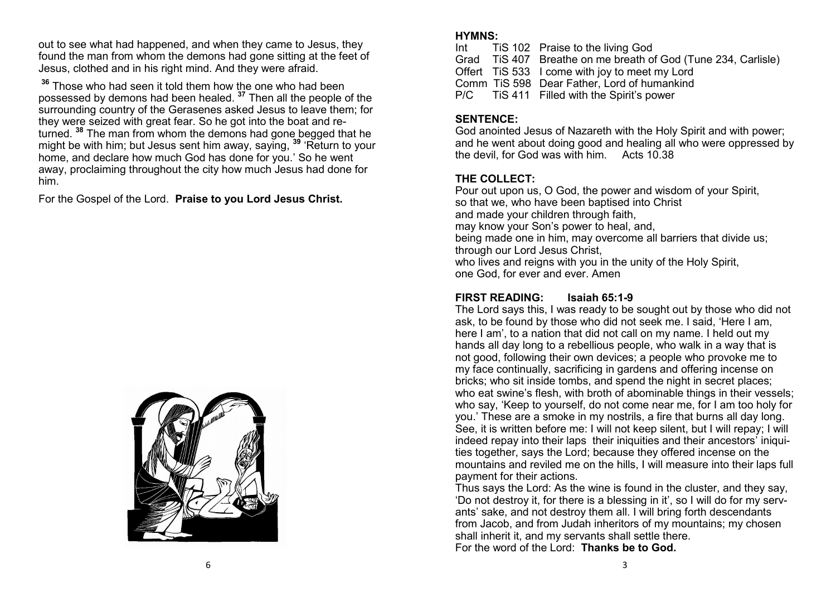out to see what had happened, and when they came to Jesus, they found the man from whom the demons had gone sitting at the feet of Jesus, clothed and in his right mind. And they were afraid.

**<sup>36</sup>** Those who had seen it told them how the one who had been possessed by demons had been healed. **<sup>37</sup>** Then all the people of the surrounding country of the Gerasenes asked Jesus to leave them; for they were seized with great fear. So he got into the boat and returned. **<sup>38</sup>** The man from whom the demons had gone begged that he might be with him; but Jesus sent him away, saying, **<sup>39</sup>** 'Return to your home, and declare how much God has done for you.' So he went away, proclaiming throughout the city how much Jesus had done for him.

For the Gospel of the Lord. **Praise to you Lord Jesus Christ.**



### **HYMNS:**

Int TiS 102 Praise to the living God Grad TiS 407 Breathe on me breath of God (Tune 234, Carlisle) Offert TiS 533 I come with joy to meet my Lord Comm TiS 598 Dear Father, Lord of humankind P/C TiS 411 Filled with the Spirit's power

# **SENTENCE:**

God anointed Jesus of Nazareth with the Holy Spirit and with power; and he went about doing good and healing all who were oppressed by the devil, for God was with him. Acts 10.38

### **THE COLLECT:**

Pour out upon us, O God, the power and wisdom of your Spirit, so that we, who have been baptised into Christ and made your children through faith, may know your Son's power to heal, and, being made one in him, may overcome all barriers that divide us; through our Lord Jesus Christ, who lives and reigns with you in the unity of the Holy Spirit, one God, for ever and ever. Amen

## **FIRST READING: Isaiah 65:1-9**

The Lord says this, I was ready to be sought out by those who did not ask, to be found by those who did not seek me. I said, 'Here I am, here I am', to a nation that did not call on my name. I held out my hands all day long to a rebellious people, who walk in a way that is not good, following their own devices; a people who provoke me to my face continually, sacrificing in gardens and offering incense on bricks; who sit inside tombs, and spend the night in secret places; who eat swine's flesh, with broth of abominable things in their vessels; who say, 'Keep to yourself, do not come near me, for I am too holy for you.' These are a smoke in my nostrils, a fire that burns all day long. See, it is written before me: I will not keep silent, but I will repay; I will indeed repay into their laps their iniquities and their ancestors' iniquities together, says the Lord; because they offered incense on the mountains and reviled me on the hills, I will measure into their laps full payment for their actions.

Thus says the Lord: As the wine is found in the cluster, and they say, 'Do not destroy it, for there is a blessing in it', so I will do for my servants' sake, and not destroy them all. I will bring forth descendants from Jacob, and from Judah inheritors of my mountains; my chosen shall inherit it, and my servants shall settle there. For the word of the Lord: **Thanks be to God.**